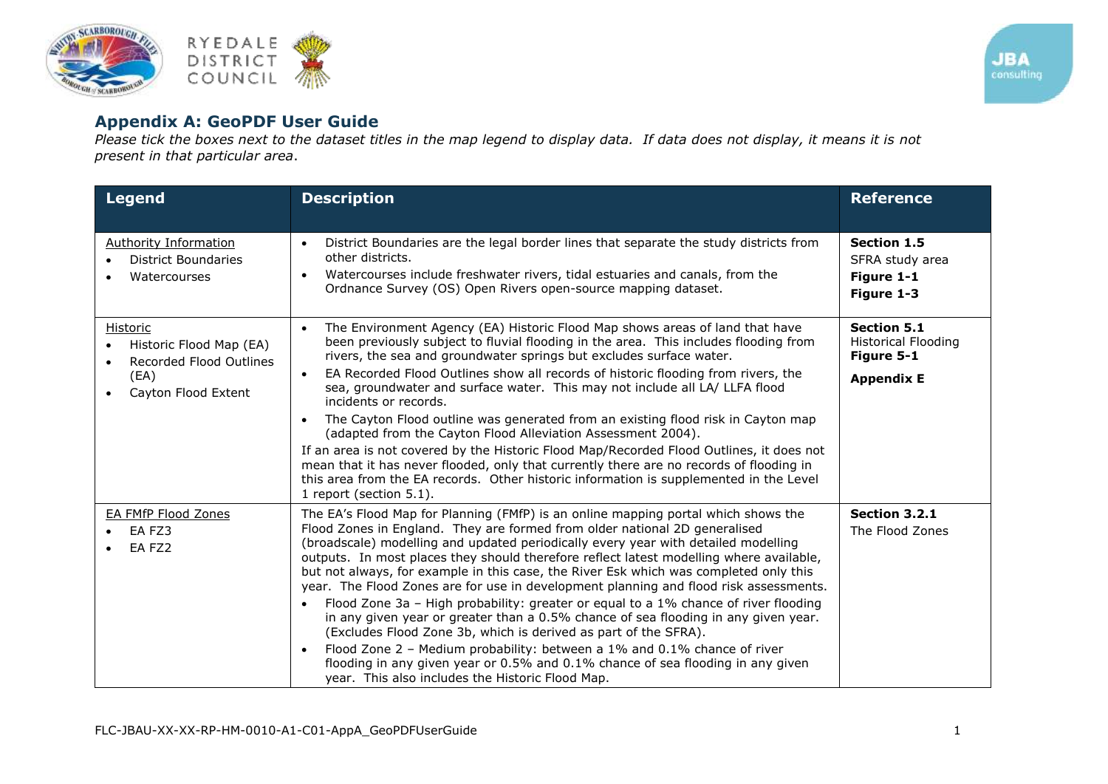



## **Appendix A: GeoPDF User Guide**

*Please tick the boxes next to the dataset titles in the map legend to display data. If data does not display, it means it is not present in that particular area*.

| <b>Legend</b>                                                                                 | <b>Description</b>                                                                                                                                                                                                                                                                                                                                                                                                                                                                                                                                                                                                                                                                                                                                                                                                                                                                                                                                                                                                               | <b>Reference</b>                                                                    |
|-----------------------------------------------------------------------------------------------|----------------------------------------------------------------------------------------------------------------------------------------------------------------------------------------------------------------------------------------------------------------------------------------------------------------------------------------------------------------------------------------------------------------------------------------------------------------------------------------------------------------------------------------------------------------------------------------------------------------------------------------------------------------------------------------------------------------------------------------------------------------------------------------------------------------------------------------------------------------------------------------------------------------------------------------------------------------------------------------------------------------------------------|-------------------------------------------------------------------------------------|
| Authority Information<br>District Boundaries<br>Watercourses                                  | District Boundaries are the legal border lines that separate the study districts from<br>$\bullet$<br>other districts.<br>Watercourses include freshwater rivers, tidal estuaries and canals, from the<br>$\bullet$<br>Ordnance Survey (OS) Open Rivers open-source mapping dataset.                                                                                                                                                                                                                                                                                                                                                                                                                                                                                                                                                                                                                                                                                                                                             | <b>Section 1.5</b><br>SFRA study area<br>Figure 1-1<br>Figure 1-3                   |
| Historic<br>Historic Flood Map (EA)<br>Recorded Flood Outlines<br>(EA)<br>Cayton Flood Extent | The Environment Agency (EA) Historic Flood Map shows areas of land that have<br>$\bullet$<br>been previously subject to fluvial flooding in the area. This includes flooding from<br>rivers, the sea and groundwater springs but excludes surface water.<br>EA Recorded Flood Outlines show all records of historic flooding from rivers, the<br>$\bullet$<br>sea, groundwater and surface water. This may not include all LA/ LLFA flood<br>incidents or records.<br>The Cayton Flood outline was generated from an existing flood risk in Cayton map<br>$\bullet$<br>(adapted from the Cayton Flood Alleviation Assessment 2004).<br>If an area is not covered by the Historic Flood Map/Recorded Flood Outlines, it does not<br>mean that it has never flooded, only that currently there are no records of flooding in<br>this area from the EA records. Other historic information is supplemented in the Level<br>1 report (section 5.1).                                                                                  | <b>Section 5.1</b><br><b>Historical Flooding</b><br>Figure 5-1<br><b>Appendix E</b> |
| <b>EA FMfP Flood Zones</b><br>EA FZ3<br>EA FZ2                                                | The EA's Flood Map for Planning (FMfP) is an online mapping portal which shows the<br>Flood Zones in England. They are formed from older national 2D generalised<br>(broadscale) modelling and updated periodically every year with detailed modelling<br>outputs. In most places they should therefore reflect latest modelling where available,<br>but not always, for example in this case, the River Esk which was completed only this<br>year. The Flood Zones are for use in development planning and flood risk assessments.<br>Flood Zone 3a - High probability: greater or equal to a 1% chance of river flooding<br>$\bullet$<br>in any given year or greater than a 0.5% chance of sea flooding in any given year.<br>(Excludes Flood Zone 3b, which is derived as part of the SFRA).<br>Flood Zone 2 - Medium probability: between a 1% and 0.1% chance of river<br>$\bullet$<br>flooding in any given year or 0.5% and 0.1% chance of sea flooding in any given<br>year. This also includes the Historic Flood Map. | Section 3.2.1<br>The Flood Zones                                                    |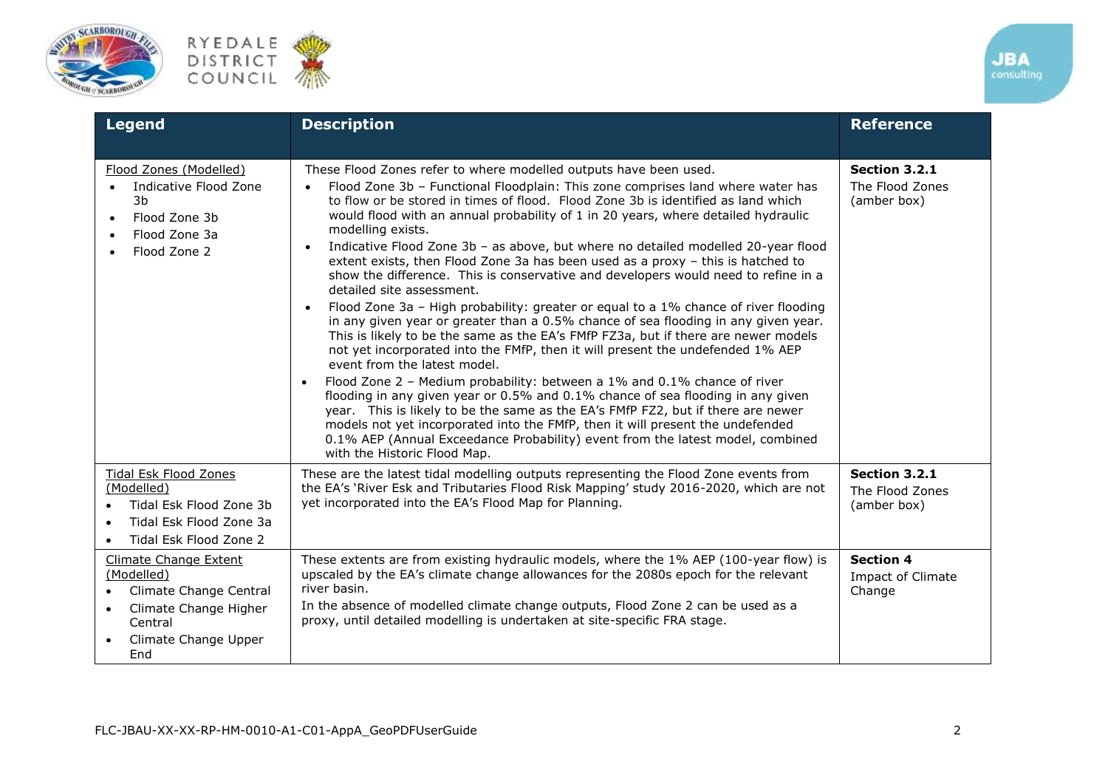





| Legend                                                                                                                                                            | <b>Description</b>                                                                                                                                                                                                                                                                                                                                                                                                                                                                                                                                                                                                                                                                                                                                                                                                                                                                                                                                                                                                                                                                                                                                                                                                                                                                                                                                                                                                                                                                                                                | <b>Reference</b>                                       |
|-------------------------------------------------------------------------------------------------------------------------------------------------------------------|-----------------------------------------------------------------------------------------------------------------------------------------------------------------------------------------------------------------------------------------------------------------------------------------------------------------------------------------------------------------------------------------------------------------------------------------------------------------------------------------------------------------------------------------------------------------------------------------------------------------------------------------------------------------------------------------------------------------------------------------------------------------------------------------------------------------------------------------------------------------------------------------------------------------------------------------------------------------------------------------------------------------------------------------------------------------------------------------------------------------------------------------------------------------------------------------------------------------------------------------------------------------------------------------------------------------------------------------------------------------------------------------------------------------------------------------------------------------------------------------------------------------------------------|--------------------------------------------------------|
| Flood Zones (Modelled)<br>Indicative Flood Zone<br>3b<br>Flood Zone 3b<br>$\bullet$<br>Flood Zone 3a<br>$\bullet$<br>Flood Zone 2                                 | These Flood Zones refer to where modelled outputs have been used.<br>Flood Zone 3b - Functional Floodplain: This zone comprises land where water has<br>$\bullet$<br>to flow or be stored in times of flood. Flood Zone 3b is identified as land which<br>would flood with an annual probability of 1 in 20 years, where detailed hydraulic<br>modelling exists.<br>Indicative Flood Zone 3b - as above, but where no detailed modelled 20-year flood<br>$\bullet$<br>extent exists, then Flood Zone 3a has been used as a proxy - this is hatched to<br>show the difference. This is conservative and developers would need to refine in a<br>detailed site assessment.<br>Flood Zone 3a - High probability: greater or equal to a 1% chance of river flooding<br>$\bullet$<br>in any given year or greater than a 0.5% chance of sea flooding in any given year.<br>This is likely to be the same as the EA's FMfP FZ3a, but if there are newer models<br>not yet incorporated into the FMfP, then it will present the undefended 1% AEP<br>event from the latest model.<br>Flood Zone 2 - Medium probability: between a 1% and 0.1% chance of river<br>flooding in any given year or 0.5% and 0.1% chance of sea flooding in any given<br>year. This is likely to be the same as the EA's FMfP FZ2, but if there are newer<br>models not yet incorporated into the FMfP, then it will present the undefended<br>0.1% AEP (Annual Exceedance Probability) event from the latest model, combined<br>with the Historic Flood Map. | Section 3.2.1<br>The Flood Zones<br>(amber box)        |
| <b>Tidal Esk Flood Zones</b><br>(Modelled)<br>Tidal Esk Flood Zone 3b<br>Tidal Esk Flood Zone 3a<br>Tidal Esk Flood Zone 2                                        | These are the latest tidal modelling outputs representing the Flood Zone events from<br>the EA's 'River Esk and Tributaries Flood Risk Mapping' study 2016-2020, which are not<br>yet incorporated into the EA's Flood Map for Planning.                                                                                                                                                                                                                                                                                                                                                                                                                                                                                                                                                                                                                                                                                                                                                                                                                                                                                                                                                                                                                                                                                                                                                                                                                                                                                          | Section 3.2.1<br>The Flood Zones<br>(amber box)        |
| <b>Climate Change Extent</b><br>(Modelled)<br>Climate Change Central<br>$\bullet$<br>Climate Change Higher<br>Central<br>Climate Change Upper<br>$\bullet$<br>End | These extents are from existing hydraulic models, where the 1% AEP (100-year flow) is<br>upscaled by the EA's climate change allowances for the 2080s epoch for the relevant<br>river basin.<br>In the absence of modelled climate change outputs, Flood Zone 2 can be used as a<br>proxy, until detailed modelling is undertaken at site-specific FRA stage.                                                                                                                                                                                                                                                                                                                                                                                                                                                                                                                                                                                                                                                                                                                                                                                                                                                                                                                                                                                                                                                                                                                                                                     | <b>Section 4</b><br><b>Impact of Climate</b><br>Change |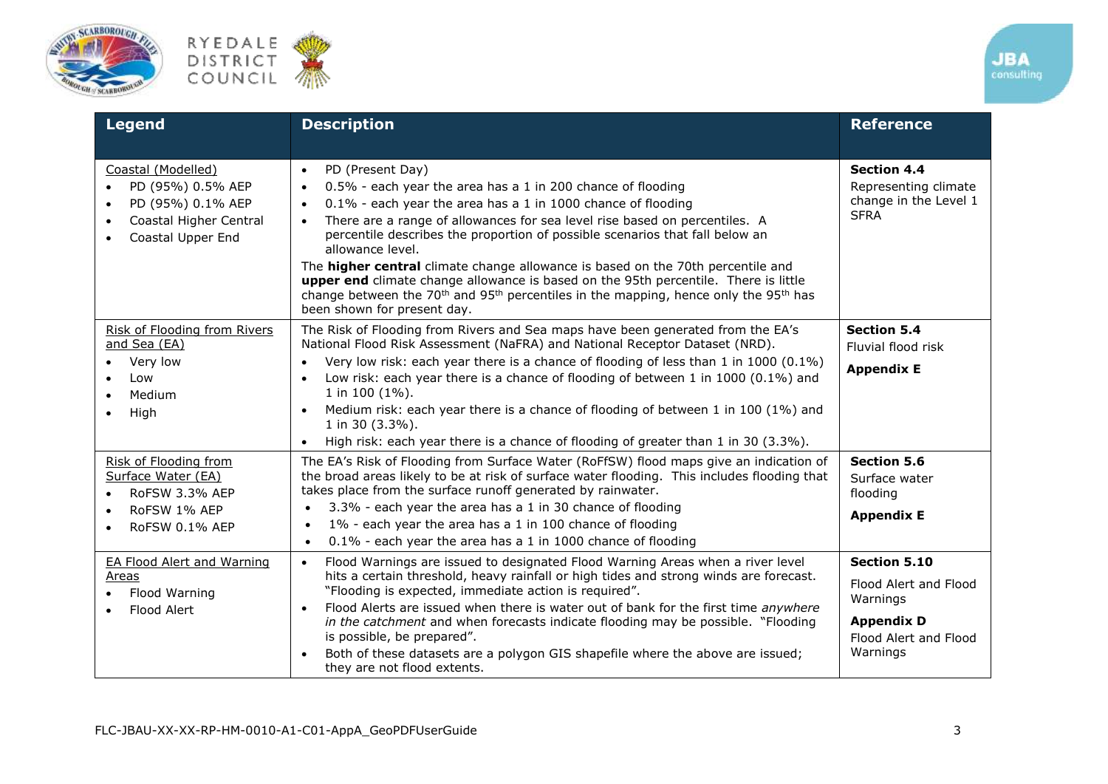





| <b>Legend</b>                                                                                                            | <b>Description</b>                                                                                                                                                                                                                                                                                                                                                                                                                                                                                                                                                                                                                                                                                                                | <b>Reference</b>                                                                                            |
|--------------------------------------------------------------------------------------------------------------------------|-----------------------------------------------------------------------------------------------------------------------------------------------------------------------------------------------------------------------------------------------------------------------------------------------------------------------------------------------------------------------------------------------------------------------------------------------------------------------------------------------------------------------------------------------------------------------------------------------------------------------------------------------------------------------------------------------------------------------------------|-------------------------------------------------------------------------------------------------------------|
| Coastal (Modelled)<br>PD (95%) 0.5% AEP<br>PD (95%) 0.1% AEP<br>$\bullet$<br>Coastal Higher Central<br>Coastal Upper End | PD (Present Day)<br>$\bullet$<br>0.5% - each year the area has a 1 in 200 chance of flooding<br>$\bullet$<br>0.1% - each year the area has a 1 in 1000 chance of flooding<br>$\bullet$<br>There are a range of allowances for sea level rise based on percentiles. A<br>$\bullet$<br>percentile describes the proportion of possible scenarios that fall below an<br>allowance level.<br>The <b>higher central</b> climate change allowance is based on the 70th percentile and<br>upper end climate change allowance is based on the 95th percentile. There is little<br>change between the 70 <sup>th</sup> and 95 <sup>th</sup> percentiles in the mapping, hence only the 95 <sup>th</sup> has<br>been shown for present day. | <b>Section 4.4</b><br>Representing climate<br>change in the Level 1<br><b>SFRA</b>                          |
| Risk of Flooding from Rivers<br>and Sea (EA)<br>Very low<br>Low<br>Medium<br>High                                        | The Risk of Flooding from Rivers and Sea maps have been generated from the EA's<br>National Flood Risk Assessment (NaFRA) and National Receptor Dataset (NRD).<br>Very low risk: each year there is a chance of flooding of less than 1 in 1000 (0.1%)<br>$\bullet$<br>Low risk: each year there is a chance of flooding of between 1 in 1000 (0.1%) and<br>$\bullet$<br>1 in 100 (1%).<br>Medium risk: each year there is a chance of flooding of between 1 in 100 (1%) and<br>$\bullet$<br>1 in 30 (3.3%).<br>High risk: each year there is a chance of flooding of greater than 1 in 30 (3.3%).<br>$\bullet$                                                                                                                   | <b>Section 5.4</b><br>Fluvial flood risk<br><b>Appendix E</b>                                               |
| Risk of Flooding from<br>Surface Water (EA)<br>RoFSW 3.3% AEP<br>RoFSW 1% AEP<br>RoFSW 0.1% AEP                          | The EA's Risk of Flooding from Surface Water (RoFfSW) flood maps give an indication of<br>the broad areas likely to be at risk of surface water flooding. This includes flooding that<br>takes place from the surface runoff generated by rainwater.<br>3.3% - each year the area has a 1 in 30 chance of flooding<br>1% - each year the area has a 1 in 100 chance of flooding<br>0.1% - each year the area has a 1 in 1000 chance of flooding<br>$\bullet$                                                                                                                                                                                                                                                                      | <b>Section 5.6</b><br>Surface water<br>flooding<br><b>Appendix E</b>                                        |
| <b>EA Flood Alert and Warning</b><br>Areas<br>Flood Warning<br>Flood Alert                                               | Flood Warnings are issued to designated Flood Warning Areas when a river level<br>$\bullet$<br>hits a certain threshold, heavy rainfall or high tides and strong winds are forecast.<br>"Flooding is expected, immediate action is required".<br>Flood Alerts are issued when there is water out of bank for the first time anywhere<br>in the catchment and when forecasts indicate flooding may be possible. "Flooding<br>is possible, be prepared".<br>Both of these datasets are a polygon GIS shapefile where the above are issued;<br>they are not flood extents.                                                                                                                                                           | Section 5.10<br>Flood Alert and Flood<br>Warnings<br><b>Appendix D</b><br>Flood Alert and Flood<br>Warnings |